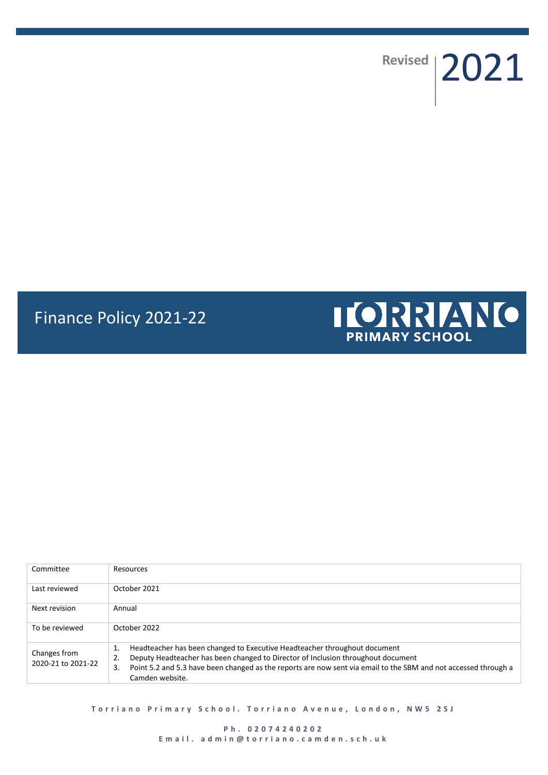**Revised** 2021

# Finance Policy 2021-22



| Committee                          | Resources                                                                                                                                                                                                                                                                                                             |  |
|------------------------------------|-----------------------------------------------------------------------------------------------------------------------------------------------------------------------------------------------------------------------------------------------------------------------------------------------------------------------|--|
| Last reviewed                      | October 2021                                                                                                                                                                                                                                                                                                          |  |
| Next revision                      | Annual                                                                                                                                                                                                                                                                                                                |  |
| To be reviewed                     | October 2022                                                                                                                                                                                                                                                                                                          |  |
| Changes from<br>2020-21 to 2021-22 | Headteacher has been changed to Executive Headteacher throughout document<br>1.<br>Deputy Headteacher has been changed to Director of Inclusion throughout document<br>2.<br>Point 5.2 and 5.3 have been changed as the reports are now sent via email to the SBM and not accessed through a<br>3.<br>Camden website. |  |

**Torriano Primary School. Torriano Avenue, London, NW5 2SJ** 

**P h . 0 2 0 7 4 2 4 0 2 0 2 E m a i l . a d m i n @ t o r r i a n o . c a m d e n . s c h . u k**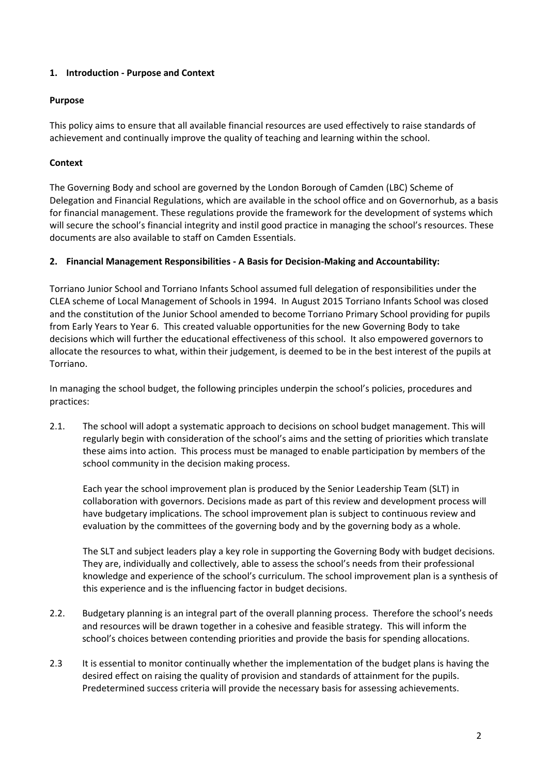# **1. Introduction - Purpose and Context**

# **Purpose**

This policy aims to ensure that all available financial resources are used effectively to raise standards of achievement and continually improve the quality of teaching and learning within the school.

# **Context**

The Governing Body and school are governed by the London Borough of Camden (LBC) Scheme of Delegation and Financial Regulations, which are available in the school office and on Governorhub, as a basis for financial management. These regulations provide the framework for the development of systems which will secure the school's financial integrity and instil good practice in managing the school's resources. These documents are also available to staff on Camden Essentials.

# **2. Financial Management Responsibilities - A Basis for Decision-Making and Accountability:**

Torriano Junior School and Torriano Infants School assumed full delegation of responsibilities under the CLEA scheme of Local Management of Schools in 1994. In August 2015 Torriano Infants School was closed and the constitution of the Junior School amended to become Torriano Primary School providing for pupils from Early Years to Year 6. This created valuable opportunities for the new Governing Body to take decisions which will further the educational effectiveness of this school. It also empowered governors to allocate the resources to what, within their judgement, is deemed to be in the best interest of the pupils at Torriano.

In managing the school budget, the following principles underpin the school's policies, procedures and practices:

2.1. The school will adopt a systematic approach to decisions on school budget management. This will regularly begin with consideration of the school's aims and the setting of priorities which translate these aims into action. This process must be managed to enable participation by members of the school community in the decision making process.

Each year the school improvement plan is produced by the Senior Leadership Team (SLT) in collaboration with governors. Decisions made as part of this review and development process will have budgetary implications. The school improvement plan is subject to continuous review and evaluation by the committees of the governing body and by the governing body as a whole.

The SLT and subject leaders play a key role in supporting the Governing Body with budget decisions. They are, individually and collectively, able to assess the school's needs from their professional knowledge and experience of the school's curriculum. The school improvement plan is a synthesis of this experience and is the influencing factor in budget decisions.

- 2.2. Budgetary planning is an integral part of the overall planning process. Therefore the school's needs and resources will be drawn together in a cohesive and feasible strategy. This will inform the school's choices between contending priorities and provide the basis for spending allocations.
- 2.3 It is essential to monitor continually whether the implementation of the budget plans is having the desired effect on raising the quality of provision and standards of attainment for the pupils. Predetermined success criteria will provide the necessary basis for assessing achievements.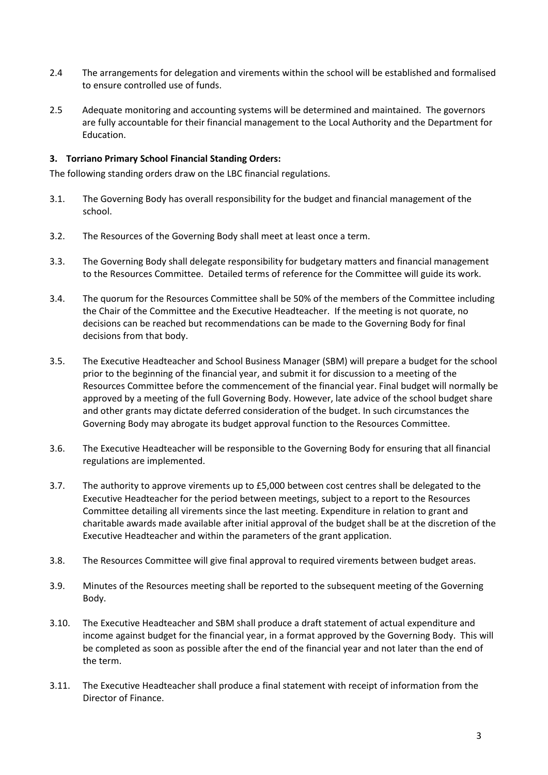- 2.4 The arrangements for delegation and virements within the school will be established and formalised to ensure controlled use of funds.
- 2.5 Adequate monitoring and accounting systems will be determined and maintained. The governors are fully accountable for their financial management to the Local Authority and the Department for Education.

## **3. Torriano Primary School Financial Standing Orders:**

The following standing orders draw on the LBC financial regulations.

- 3.1. The Governing Body has overall responsibility for the budget and financial management of the school.
- 3.2. The Resources of the Governing Body shall meet at least once a term.
- 3.3. The Governing Body shall delegate responsibility for budgetary matters and financial management to the Resources Committee. Detailed terms of reference for the Committee will guide its work.
- 3.4. The quorum for the Resources Committee shall be 50% of the members of the Committee including the Chair of the Committee and the Executive Headteacher. If the meeting is not quorate, no decisions can be reached but recommendations can be made to the Governing Body for final decisions from that body.
- 3.5. The Executive Headteacher and School Business Manager (SBM) will prepare a budget for the school prior to the beginning of the financial year, and submit it for discussion to a meeting of the Resources Committee before the commencement of the financial year. Final budget will normally be approved by a meeting of the full Governing Body. However, late advice of the school budget share and other grants may dictate deferred consideration of the budget. In such circumstances the Governing Body may abrogate its budget approval function to the Resources Committee.
- 3.6. The Executive Headteacher will be responsible to the Governing Body for ensuring that all financial regulations are implemented.
- 3.7. The authority to approve virements up to £5,000 between cost centres shall be delegated to the Executive Headteacher for the period between meetings, subject to a report to the Resources Committee detailing all virements since the last meeting. Expenditure in relation to grant and charitable awards made available after initial approval of the budget shall be at the discretion of the Executive Headteacher and within the parameters of the grant application.
- 3.8. The Resources Committee will give final approval to required virements between budget areas.
- 3.9. Minutes of the Resources meeting shall be reported to the subsequent meeting of the Governing Body.
- 3.10. The Executive Headteacher and SBM shall produce a draft statement of actual expenditure and income against budget for the financial year, in a format approved by the Governing Body. This will be completed as soon as possible after the end of the financial year and not later than the end of the term.
- 3.11. The Executive Headteacher shall produce a final statement with receipt of information from the Director of Finance.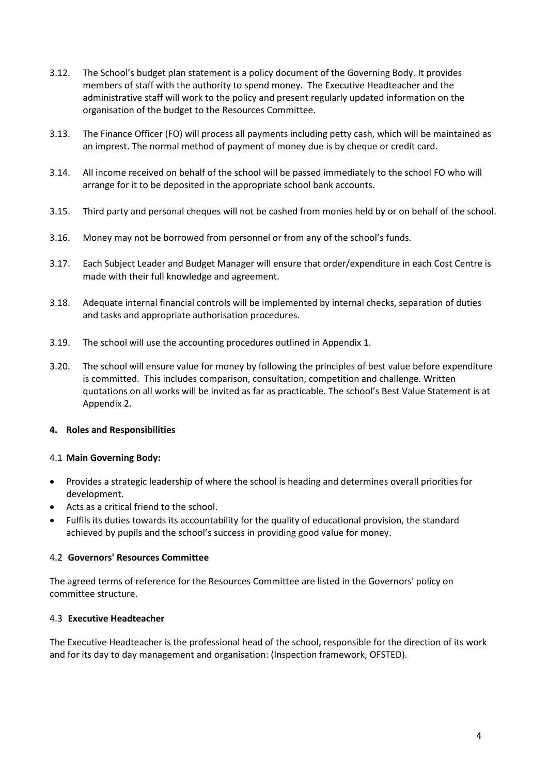- 3.12. The School's budget plan statement is a policy document of the Governing Body. It provides members of staff with the authority to spend money. The Executive Headteacher and the administrative staff will work to the policy and present regularly updated information on the organisation of the budget to the Resources Committee.
- 3.13. The Finance Officer (FO) will process all payments including petty cash, which will be maintained as an imprest. The normal method of payment of money due is by cheque or credit card.
- 3.14. All income received on behalf of the school will be passed immediately to the school FO who will arrange for it to be deposited in the appropriate school bank accounts.
- 3.15. Third party and personal cheques will not be cashed from monies held by or on behalf of the school.
- 3.16. Money may not be borrowed from personnel or from any of the school's funds.
- 3.17. Each Subject Leader and Budget Manager will ensure that order/expenditure in each Cost Centre is made with their full knowledge and agreement.
- 3.18. Adequate internal financial controls will be implemented by internal checks, separation of duties and tasks and appropriate authorisation procedures.
- 3.19. The school will use the accounting procedures outlined in Appendix 1.
- 3.20. The school will ensure value for money by following the principles of best value before expenditure is committed. This includes comparison, consultation, competition and challenge. Written quotations on all works will be invited as far as practicable. The school's Best Value Statement is at Appendix 2.

#### **4. Roles and Responsibilities**

#### 4.1 **Main Governing Body:**

- Provides a strategic leadership of where the school is heading and determines overall priorities for development.
- Acts as a critical friend to the school.
- Fulfils its duties towards its accountability for the quality of educational provision, the standard achieved by pupils and the school's success in providing good value for money.

#### 4.2 **Governors' Resources Committee**

The agreed terms of reference for the Resources Committee are listed in the Governors' policy on committee structure.

#### 4.3 **Executive Headteacher**

The Executive Headteacher is the professional head of the school, responsible for the direction of its work and for its day to day management and organisation: (Inspection framework, OFSTED).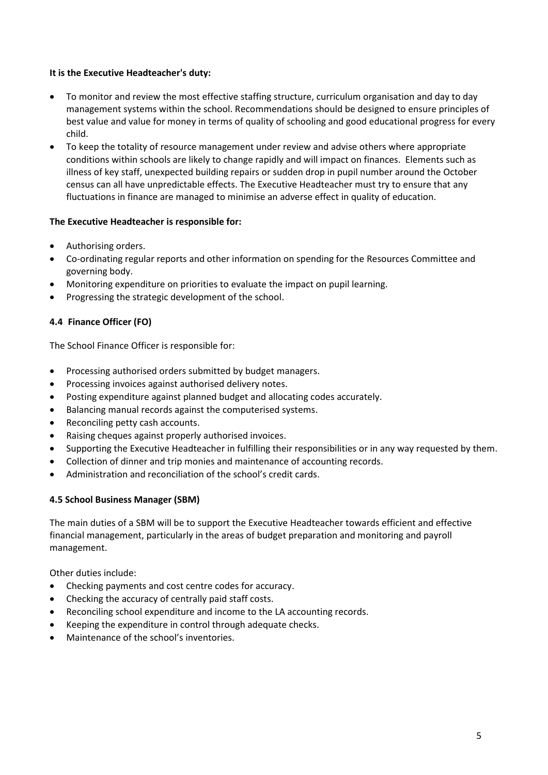#### **It is the Executive Headteacher's duty:**

- To monitor and review the most effective staffing structure, curriculum organisation and day to day management systems within the school. Recommendations should be designed to ensure principles of best value and value for money in terms of quality of schooling and good educational progress for every child.
- To keep the totality of resource management under review and advise others where appropriate conditions within schools are likely to change rapidly and will impact on finances. Elements such as illness of key staff, unexpected building repairs or sudden drop in pupil number around the October census can all have unpredictable effects. The Executive Headteacher must try to ensure that any fluctuations in finance are managed to minimise an adverse effect in quality of education.

#### **The Executive Headteacher is responsible for:**

- Authorising orders.
- Co-ordinating regular reports and other information on spending for the Resources Committee and governing body.
- Monitoring expenditure on priorities to evaluate the impact on pupil learning.
- Progressing the strategic development of the school.

# **4.4 Finance Officer (FO)**

The School Finance Officer is responsible for:

- Processing authorised orders submitted by budget managers.
- Processing invoices against authorised delivery notes.
- Posting expenditure against planned budget and allocating codes accurately.
- Balancing manual records against the computerised systems.
- Reconciling petty cash accounts.
- Raising cheques against properly authorised invoices.
- Supporting the Executive Headteacher in fulfilling their responsibilities or in any way requested by them.
- Collection of dinner and trip monies and maintenance of accounting records.
- Administration and reconciliation of the school's credit cards.

## **4.5 School Business Manager (SBM)**

The main duties of a SBM will be to support the Executive Headteacher towards efficient and effective financial management, particularly in the areas of budget preparation and monitoring and payroll management.

Other duties include:

- Checking payments and cost centre codes for accuracy.
- Checking the accuracy of centrally paid staff costs.
- Reconciling school expenditure and income to the LA accounting records.
- Keeping the expenditure in control through adequate checks.
- Maintenance of the school's inventories.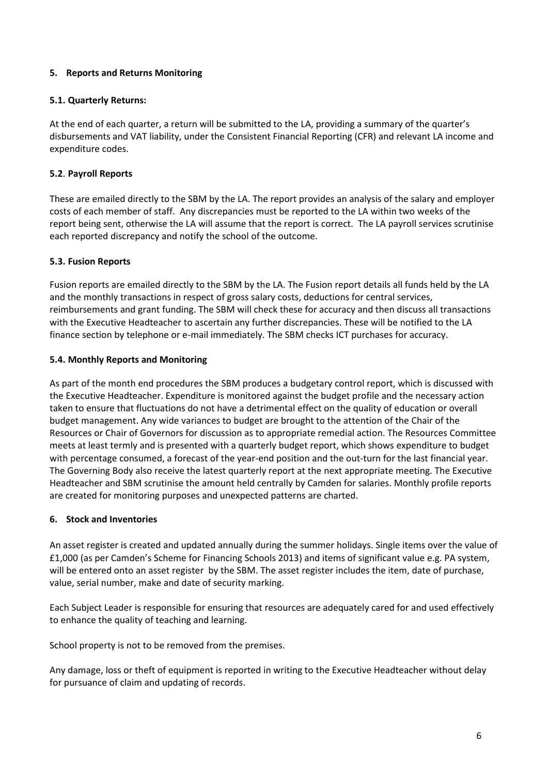# **5. Reports and Returns Monitoring**

# **5.1. Quarterly Returns:**

At the end of each quarter, a return will be submitted to the LA, providing a summary of the quarter's disbursements and VAT liability, under the Consistent Financial Reporting (CFR) and relevant LA income and expenditure codes.

# **5.2**. **Payroll Reports**

These are emailed directly to the SBM by the LA. The report provides an analysis of the salary and employer costs of each member of staff. Any discrepancies must be reported to the LA within two weeks of the report being sent, otherwise the LA will assume that the report is correct. The LA payroll services scrutinise each reported discrepancy and notify the school of the outcome.

## **5.3. Fusion Reports**

Fusion reports are emailed directly to the SBM by the LA. The Fusion report details all funds held by the LA and the monthly transactions in respect of gross salary costs, deductions for central services, reimbursements and grant funding. The SBM will check these for accuracy and then discuss all transactions with the Executive Headteacher to ascertain any further discrepancies. These will be notified to the LA finance section by telephone or e-mail immediately. The SBM checks ICT purchases for accuracy.

## **5.4. Monthly Reports and Monitoring**

As part of the month end procedures the SBM produces a budgetary control report, which is discussed with the Executive Headteacher. Expenditure is monitored against the budget profile and the necessary action taken to ensure that fluctuations do not have a detrimental effect on the quality of education or overall budget management. Any wide variances to budget are brought to the attention of the Chair of the Resources or Chair of Governors for discussion as to appropriate remedial action. The Resources Committee meets at least termly and is presented with a quarterly budget report, which shows expenditure to budget with percentage consumed, a forecast of the year-end position and the out-turn for the last financial year. The Governing Body also receive the latest quarterly report at the next appropriate meeting. The Executive Headteacher and SBM scrutinise the amount held centrally by Camden for salaries. Monthly profile reports are created for monitoring purposes and unexpected patterns are charted.

## **6. Stock and Inventories**

An asset register is created and updated annually during the summer holidays. Single items over the value of £1,000 (as per Camden's Scheme for Financing Schools 2013) and items of significant value e.g. PA system, will be entered onto an asset register by the SBM. The asset register includes the item, date of purchase, value, serial number, make and date of security marking.

Each Subject Leader is responsible for ensuring that resources are adequately cared for and used effectively to enhance the quality of teaching and learning.

School property is not to be removed from the premises.

Any damage, loss or theft of equipment is reported in writing to the Executive Headteacher without delay for pursuance of claim and updating of records.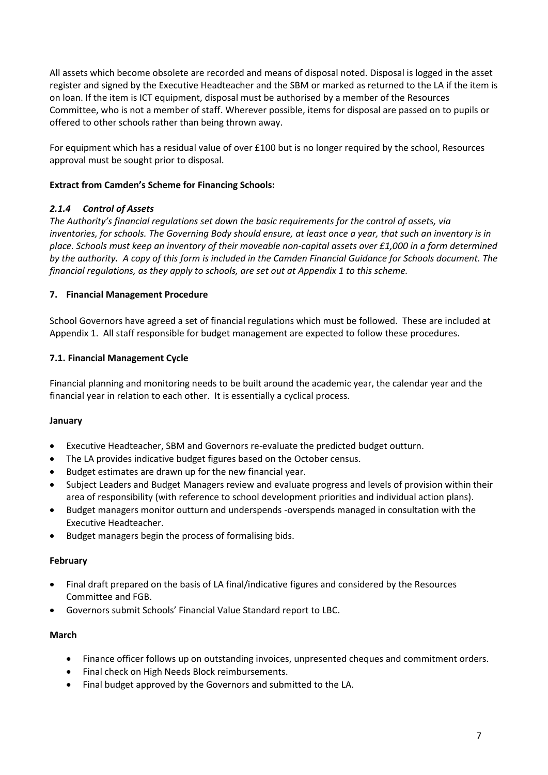All assets which become obsolete are recorded and means of disposal noted. Disposal is logged in the asset register and signed by the Executive Headteacher and the SBM or marked as returned to the LA if the item is on loan. If the item is ICT equipment, disposal must be authorised by a member of the Resources Committee, who is not a member of staff. Wherever possible, items for disposal are passed on to pupils or offered to other schools rather than being thrown away.

For equipment which has a residual value of over £100 but is no longer required by the school, Resources approval must be sought prior to disposal.

## **Extract from Camden's Scheme for Financing Schools:**

# *2.1.4 Control of Assets*

*The Authority's financial regulations set down the basic requirements for the control of assets, via inventories, for schools. The Governing Body should ensure, at least once a year, that such an inventory is in place. Schools must keep an inventory of their moveable non-capital assets over £1,000 in a form determined by the authority. A copy of this form is included in the Camden Financial Guidance for Schools document. The financial regulations, as they apply to schools, are set out at Appendix 1 to this scheme.*

## **7. Financial Management Procedure**

School Governors have agreed a set of financial regulations which must be followed. These are included at Appendix 1. All staff responsible for budget management are expected to follow these procedures.

## **7.1. Financial Management Cycle**

Financial planning and monitoring needs to be built around the academic year, the calendar year and the financial year in relation to each other. It is essentially a cyclical process.

## **January**

- Executive Headteacher, SBM and Governors re-evaluate the predicted budget outturn.
- The LA provides indicative budget figures based on the October census.
- Budget estimates are drawn up for the new financial year.
- Subject Leaders and Budget Managers review and evaluate progress and levels of provision within their area of responsibility (with reference to school development priorities and individual action plans).
- Budget managers monitor outturn and underspends -overspends managed in consultation with the Executive Headteacher.
- Budget managers begin the process of formalising bids.

## **February**

- Final draft prepared on the basis of LA final/indicative figures and considered by the Resources Committee and FGB.
- Governors submit Schools' Financial Value Standard report to LBC.

## **March**

- Finance officer follows up on outstanding invoices, unpresented cheques and commitment orders.
- Final check on High Needs Block reimbursements.
- Final budget approved by the Governors and submitted to the LA.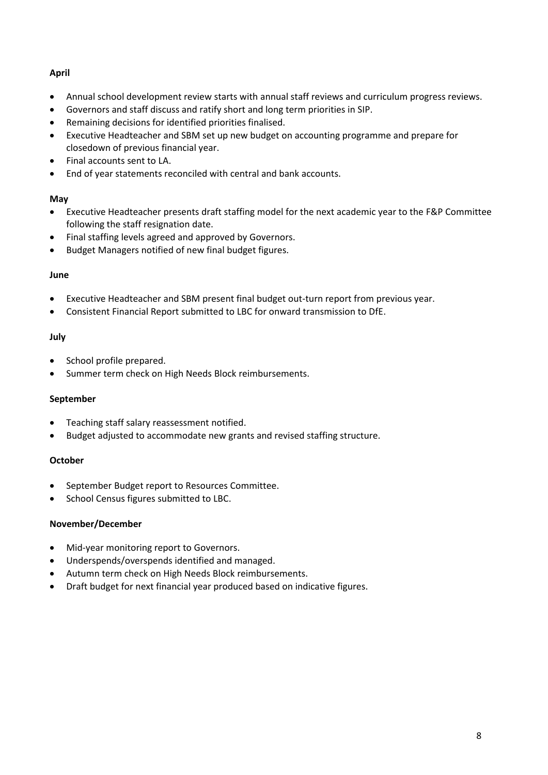# **April**

- Annual school development review starts with annual staff reviews and curriculum progress reviews.
- Governors and staff discuss and ratify short and long term priorities in SIP.
- Remaining decisions for identified priorities finalised.
- Executive Headteacher and SBM set up new budget on accounting programme and prepare for closedown of previous financial year.
- Final accounts sent to LA.
- End of year statements reconciled with central and bank accounts.

## **May**

- Executive Headteacher presents draft staffing model for the next academic year to the F&P Committee following the staff resignation date.
- Final staffing levels agreed and approved by Governors.
- Budget Managers notified of new final budget figures.

## **June**

- Executive Headteacher and SBM present final budget out-turn report from previous year.
- Consistent Financial Report submitted to LBC for onward transmission to DfE.

# **July**

- School profile prepared.
- Summer term check on High Needs Block reimbursements.

## **September**

- Teaching staff salary reassessment notified.
- Budget adjusted to accommodate new grants and revised staffing structure.

# **October**

- September Budget report to Resources Committee.
- School Census figures submitted to LBC.

## **November/December**

- Mid-year monitoring report to Governors.
- Underspends/overspends identified and managed.
- Autumn term check on High Needs Block reimbursements.
- Draft budget for next financial year produced based on indicative figures.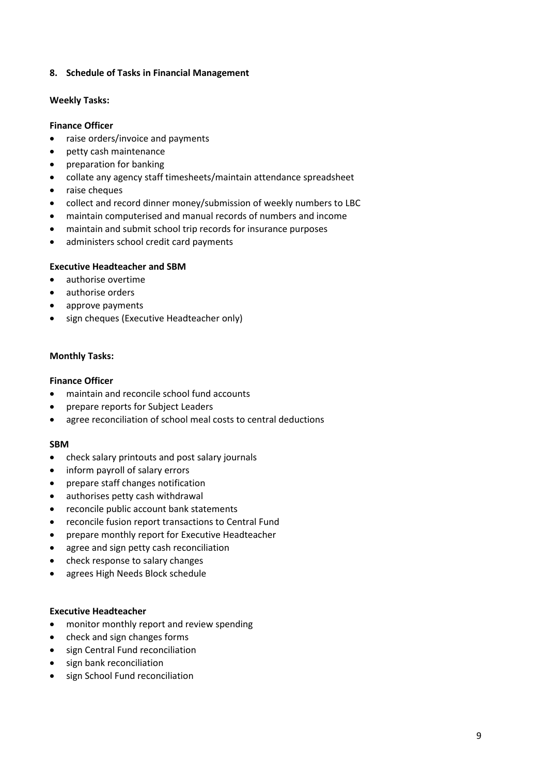#### **8. Schedule of Tasks in Financial Management**

#### **Weekly Tasks:**

#### **Finance Officer**

- raise orders/invoice and payments
- petty cash maintenance
- preparation for banking
- collate any agency staff timesheets/maintain attendance spreadsheet
- raise cheques
- collect and record dinner money/submission of weekly numbers to LBC
- maintain computerised and manual records of numbers and income
- maintain and submit school trip records for insurance purposes
- administers school credit card payments

#### **Executive Headteacher and SBM**

- authorise overtime
- authorise orders
- approve payments
- sign cheques (Executive Headteacher only)

#### **Monthly Tasks:**

#### **Finance Officer**

- maintain and reconcile school fund accounts
- prepare reports for Subject Leaders
- agree reconciliation of school meal costs to central deductions

#### **SBM**

- check salary printouts and post salary journals
- inform payroll of salary errors
- prepare staff changes notification
- authorises petty cash withdrawal
- reconcile public account bank statements
- reconcile fusion report transactions to Central Fund
- prepare monthly report for Executive Headteacher
- agree and sign petty cash reconciliation
- check response to salary changes
- agrees High Needs Block schedule

#### **Executive Headteacher**

- monitor monthly report and review spending
- check and sign changes forms
- sign Central Fund reconciliation
- sign bank reconciliation
- sign School Fund reconciliation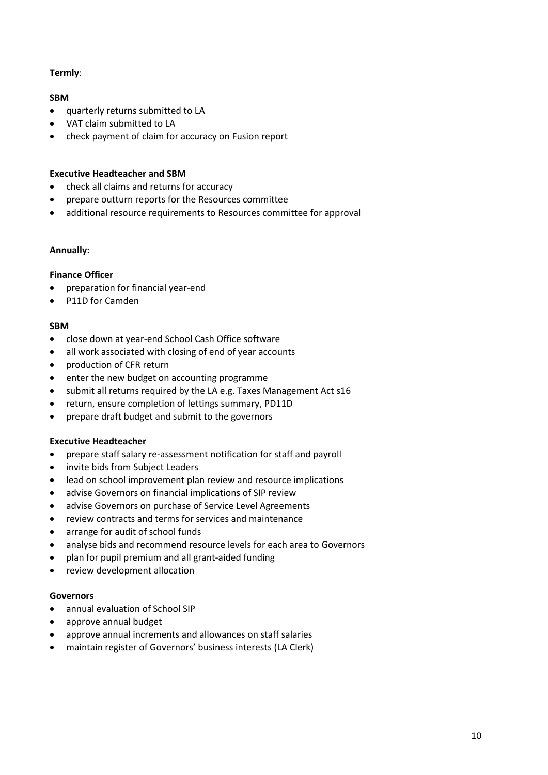## **Termly**:

#### **SBM**

- quarterly returns submitted to LA
- VAT claim submitted to LA
- check payment of claim for accuracy on Fusion report

## **Executive Headteacher and SBM**

- check all claims and returns for accuracy
- prepare outturn reports for the Resources committee
- additional resource requirements to Resources committee for approval

#### **Annually:**

#### **Finance Officer**

- preparation for financial year-end
- P11D for Camden

#### **SBM**

- close down at year-end School Cash Office software
- all work associated with closing of end of year accounts
- production of CFR return
- enter the new budget on accounting programme
- submit all returns required by the LA e.g. Taxes Management Act s16
- return, ensure completion of lettings summary, PD11D
- prepare draft budget and submit to the governors

## **Executive Headteacher**

- prepare staff salary re-assessment notification for staff and payroll
- invite bids from Subject Leaders
- lead on school improvement plan review and resource implications
- advise Governors on financial implications of SIP review
- advise Governors on purchase of Service Level Agreements
- review contracts and terms for services and maintenance
- arrange for audit of school funds
- analyse bids and recommend resource levels for each area to Governors
- plan for pupil premium and all grant-aided funding
- review development allocation

## **Governors**

- annual evaluation of School SIP
- approve annual budget
- approve annual increments and allowances on staff salaries
- maintain register of Governors' business interests (LA Clerk)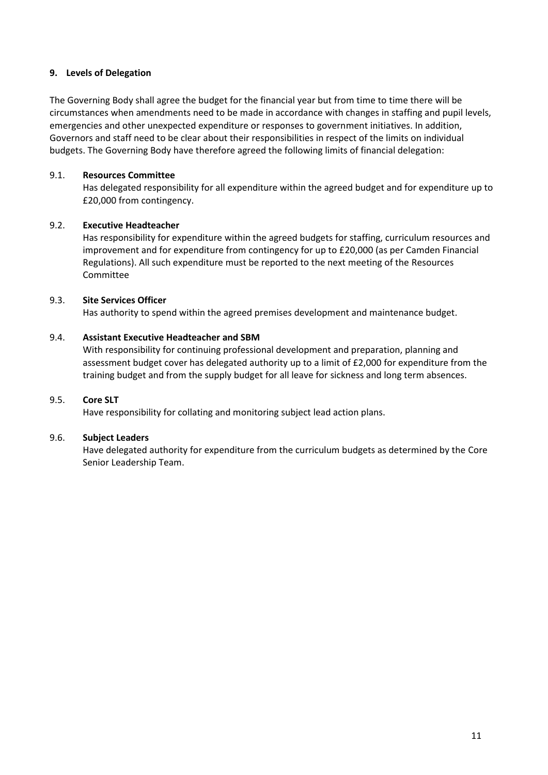#### **9. Levels of Delegation**

The Governing Body shall agree the budget for the financial year but from time to time there will be circumstances when amendments need to be made in accordance with changes in staffing and pupil levels, emergencies and other unexpected expenditure or responses to government initiatives. In addition, Governors and staff need to be clear about their responsibilities in respect of the limits on individual budgets. The Governing Body have therefore agreed the following limits of financial delegation:

#### 9.1. **Resources Committee**

Has delegated responsibility for all expenditure within the agreed budget and for expenditure up to £20,000 from contingency.

#### 9.2. **Executive Headteacher**

Has responsibility for expenditure within the agreed budgets for staffing, curriculum resources and improvement and for expenditure from contingency for up to £20,000 (as per Camden Financial Regulations). All such expenditure must be reported to the next meeting of the Resources Committee

#### 9.3. **Site Services Officer**

Has authority to spend within the agreed premises development and maintenance budget.

## 9.4. **Assistant Executive Headteacher and SBM**

With responsibility for continuing professional development and preparation, planning and assessment budget cover has delegated authority up to a limit of £2,000 for expenditure from the training budget and from the supply budget for all leave for sickness and long term absences.

#### 9.5. **Core SLT**

Have responsibility for collating and monitoring subject lead action plans.

#### 9.6. **Subject Leaders**

Have delegated authority for expenditure from the curriculum budgets as determined by the Core Senior Leadership Team.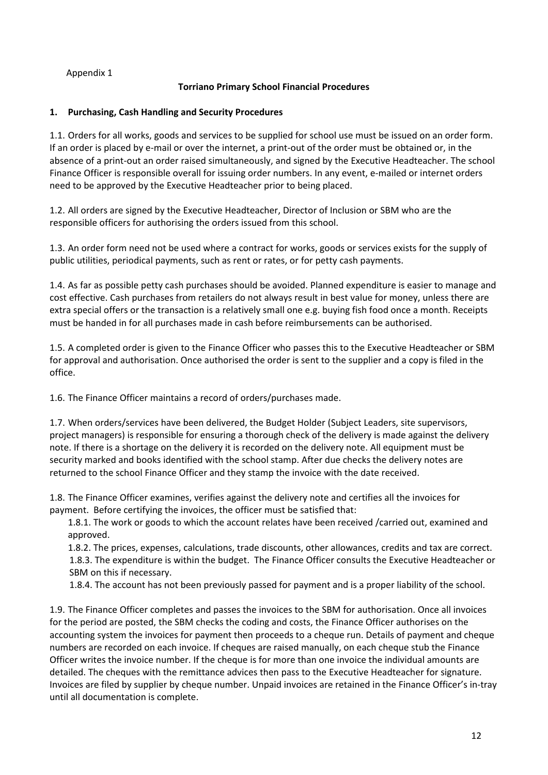# Appendix 1

# **Torriano Primary School Financial Procedures**

# **1. Purchasing, Cash Handling and Security Procedures**

1.1. Orders for all works, goods and services to be supplied for school use must be issued on an order form. If an order is placed by e-mail or over the internet, a print-out of the order must be obtained or, in the absence of a print-out an order raised simultaneously, and signed by the Executive Headteacher. The school Finance Officer is responsible overall for issuing order numbers. In any event, e-mailed or internet orders need to be approved by the Executive Headteacher prior to being placed.

1.2. All orders are signed by the Executive Headteacher, Director of Inclusion or SBM who are the responsible officers for authorising the orders issued from this school.

1.3. An order form need not be used where a contract for works, goods or services exists for the supply of public utilities, periodical payments, such as rent or rates, or for petty cash payments.

1.4. As far as possible petty cash purchases should be avoided. Planned expenditure is easier to manage and cost effective. Cash purchases from retailers do not always result in best value for money, unless there are extra special offers or the transaction is a relatively small one e.g. buying fish food once a month. Receipts must be handed in for all purchases made in cash before reimbursements can be authorised.

1.5. A completed order is given to the Finance Officer who passes this to the Executive Headteacher or SBM for approval and authorisation. Once authorised the order is sent to the supplier and a copy is filed in the office.

1.6. The Finance Officer maintains a record of orders/purchases made.

1.7. When orders/services have been delivered, the Budget Holder (Subject Leaders, site supervisors, project managers) is responsible for ensuring a thorough check of the delivery is made against the delivery note. If there is a shortage on the delivery it is recorded on the delivery note. All equipment must be security marked and books identified with the school stamp. After due checks the delivery notes are returned to the school Finance Officer and they stamp the invoice with the date received.

1.8. The Finance Officer examines, verifies against the delivery note and certifies all the invoices for payment. Before certifying the invoices, the officer must be satisfied that:

1.8.1. The work or goods to which the account relates have been received /carried out, examined and approved.

1.8.2. The prices, expenses, calculations, trade discounts, other allowances, credits and tax are correct. 1.8.3. The expenditure is within the budget. The Finance Officer consults the Executive Headteacher or SBM on this if necessary.

1.8.4. The account has not been previously passed for payment and is a proper liability of the school.

1.9. The Finance Officer completes and passes the invoices to the SBM for authorisation. Once all invoices for the period are posted, the SBM checks the coding and costs, the Finance Officer authorises on the accounting system the invoices for payment then proceeds to a cheque run. Details of payment and cheque numbers are recorded on each invoice. If cheques are raised manually, on each cheque stub the Finance Officer writes the invoice number. If the cheque is for more than one invoice the individual amounts are detailed. The cheques with the remittance advices then pass to the Executive Headteacher for signature. Invoices are filed by supplier by cheque number. Unpaid invoices are retained in the Finance Officer's in-tray until all documentation is complete.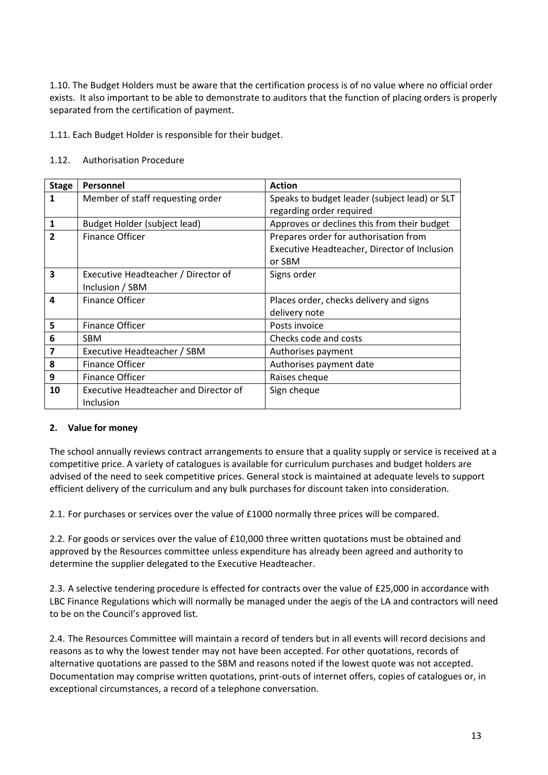1.10. The Budget Holders must be aware that the certification process is of no value where no official order exists. It also important to be able to demonstrate to auditors that the function of placing orders is properly separated from the certification of payment.

1.11. Each Budget Holder is responsible for their budget.

#### 1.12. Authorisation Procedure

| <b>Stage</b>   | Personnel                                                 | <b>Action</b>                                                                                   |
|----------------|-----------------------------------------------------------|-------------------------------------------------------------------------------------------------|
| 1              | Member of staff requesting order                          | Speaks to budget leader (subject lead) or SLT<br>regarding order required                       |
| 1              | Budget Holder (subject lead)                              | Approves or declines this from their budget                                                     |
| $\overline{2}$ | Finance Officer                                           | Prepares order for authorisation from<br>Executive Headteacher, Director of Inclusion<br>or SBM |
| 3              | Executive Headteacher / Director of<br>Inclusion / SBM    | Signs order                                                                                     |
| 4              | <b>Finance Officer</b>                                    | Places order, checks delivery and signs<br>delivery note                                        |
| 5              | Finance Officer                                           | Posts invoice                                                                                   |
| 6              | <b>SBM</b>                                                | Checks code and costs                                                                           |
| 7              | Executive Headteacher / SBM                               | Authorises payment                                                                              |
| 8              | <b>Finance Officer</b>                                    | Authorises payment date                                                                         |
| 9              | Finance Officer                                           | Raises cheque                                                                                   |
| 10             | <b>Executive Headteacher and Director of</b><br>Inclusion | Sign cheque                                                                                     |

#### **2. Value for money**

The school annually reviews contract arrangements to ensure that a quality supply or service is received at a competitive price. A variety of catalogues is available for curriculum purchases and budget holders are advised of the need to seek competitive prices. General stock is maintained at adequate levels to support efficient delivery of the curriculum and any bulk purchases for discount taken into consideration.

2.1. For purchases or services over the value of £1000 normally three prices will be compared.

2.2. For goods or services over the value of £10,000 three written quotations must be obtained and approved by the Resources committee unless expenditure has already been agreed and authority to determine the supplier delegated to the Executive Headteacher.

2.3. A selective tendering procedure is effected for contracts over the value of £25,000 in accordance with LBC Finance Regulations which will normally be managed under the aegis of the LA and contractors will need to be on the Council's approved list.

2.4. The Resources Committee will maintain a record of tenders but in all events will record decisions and reasons as to why the lowest tender may not have been accepted. For other quotations, records of alternative quotations are passed to the SBM and reasons noted if the lowest quote was not accepted. Documentation may comprise written quotations, print-outs of internet offers, copies of catalogues or, in exceptional circumstances, a record of a telephone conversation.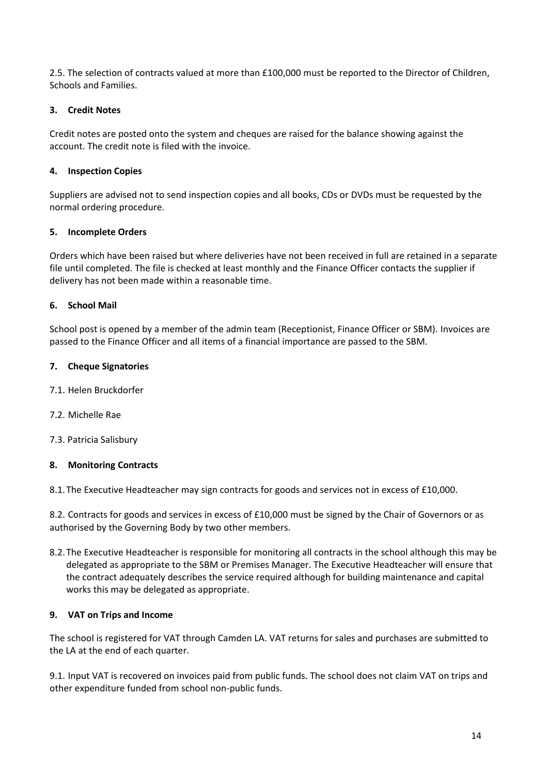2.5. The selection of contracts valued at more than £100,000 must be reported to the Director of Children, Schools and Families.

# **3. Credit Notes**

Credit notes are posted onto the system and cheques are raised for the balance showing against the account. The credit note is filed with the invoice.

# **4. Inspection Copies**

Suppliers are advised not to send inspection copies and all books, CDs or DVDs must be requested by the normal ordering procedure.

## **5. Incomplete Orders**

Orders which have been raised but where deliveries have not been received in full are retained in a separate file until completed. The file is checked at least monthly and the Finance Officer contacts the supplier if delivery has not been made within a reasonable time.

## **6. School Mail**

School post is opened by a member of the admin team (Receptionist, Finance Officer or SBM). Invoices are passed to the Finance Officer and all items of a financial importance are passed to the SBM.

## **7. Cheque Signatories**

- 7.1. Helen Bruckdorfer
- 7.2. Michelle Rae
- 7.3. Patricia Salisbury

## **8. Monitoring Contracts**

8.1.The Executive Headteacher may sign contracts for goods and services not in excess of £10,000.

8.2. Contracts for goods and services in excess of £10,000 must be signed by the Chair of Governors or as authorised by the Governing Body by two other members.

8.2.The Executive Headteacher is responsible for monitoring all contracts in the school although this may be delegated as appropriate to the SBM or Premises Manager. The Executive Headteacher will ensure that the contract adequately describes the service required although for building maintenance and capital works this may be delegated as appropriate.

## **9. VAT on Trips and Income**

The school is registered for VAT through Camden LA. VAT returns for sales and purchases are submitted to the LA at the end of each quarter.

9.1. Input VAT is recovered on invoices paid from public funds. The school does not claim VAT on trips and other expenditure funded from school non-public funds.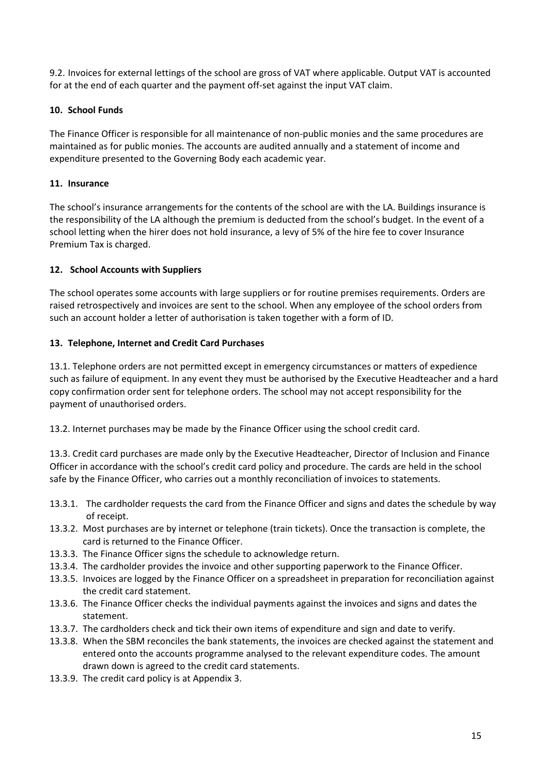9.2. Invoices for external lettings of the school are gross of VAT where applicable. Output VAT is accounted for at the end of each quarter and the payment off-set against the input VAT claim.

# **10. School Funds**

The Finance Officer is responsible for all maintenance of non-public monies and the same procedures are maintained as for public monies. The accounts are audited annually and a statement of income and expenditure presented to the Governing Body each academic year.

## **11. Insurance**

The school's insurance arrangements for the contents of the school are with the LA. Buildings insurance is the responsibility of the LA although the premium is deducted from the school's budget. In the event of a school letting when the hirer does not hold insurance, a levy of 5% of the hire fee to cover Insurance Premium Tax is charged.

## **12. School Accounts with Suppliers**

The school operates some accounts with large suppliers or for routine premises requirements. Orders are raised retrospectively and invoices are sent to the school. When any employee of the school orders from such an account holder a letter of authorisation is taken together with a form of ID.

## **13. Telephone, Internet and Credit Card Purchases**

13.1. Telephone orders are not permitted except in emergency circumstances or matters of expedience such as failure of equipment. In any event they must be authorised by the Executive Headteacher and a hard copy confirmation order sent for telephone orders. The school may not accept responsibility for the payment of unauthorised orders.

13.2. Internet purchases may be made by the Finance Officer using the school credit card.

13.3. Credit card purchases are made only by the Executive Headteacher, Director of Inclusion and Finance Officer in accordance with the school's credit card policy and procedure. The cards are held in the school safe by the Finance Officer, who carries out a monthly reconciliation of invoices to statements.

- 13.3.1. The cardholder requests the card from the Finance Officer and signs and dates the schedule by way of receipt.
- 13.3.2. Most purchases are by internet or telephone (train tickets). Once the transaction is complete, the card is returned to the Finance Officer.
- 13.3.3. The Finance Officer signs the schedule to acknowledge return.
- 13.3.4. The cardholder provides the invoice and other supporting paperwork to the Finance Officer.
- 13.3.5. Invoices are logged by the Finance Officer on a spreadsheet in preparation for reconciliation against the credit card statement.
- 13.3.6. The Finance Officer checks the individual payments against the invoices and signs and dates the statement.
- 13.3.7. The cardholders check and tick their own items of expenditure and sign and date to verify.
- 13.3.8. When the SBM reconciles the bank statements, the invoices are checked against the statement and entered onto the accounts programme analysed to the relevant expenditure codes. The amount drawn down is agreed to the credit card statements.
- 13.3.9. The credit card policy is at Appendix 3.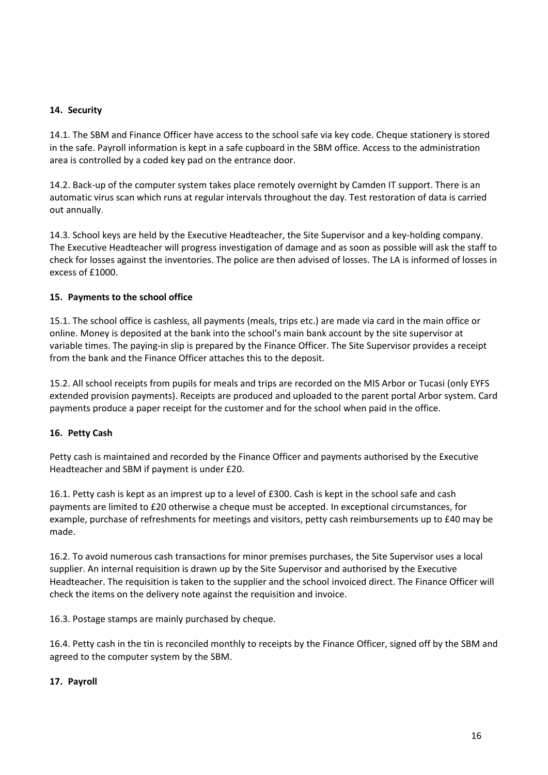#### **14. Security**

14.1. The SBM and Finance Officer have access to the school safe via key code. Cheque stationery is stored in the safe. Payroll information is kept in a safe cupboard in the SBM office. Access to the administration area is controlled by a coded key pad on the entrance door.

14.2. Back-up of the computer system takes place remotely overnight by Camden IT support. There is an automatic virus scan which runs at regular intervals throughout the day. Test restoration of data is carried out annually.

14.3. School keys are held by the Executive Headteacher, the Site Supervisor and a key-holding company. The Executive Headteacher will progress investigation of damage and as soon as possible will ask the staff to check for losses against the inventories. The police are then advised of losses. The LA is informed of losses in excess of £1000.

#### **15. Payments to the school office**

15.1. The school office is cashless, all payments (meals, trips etc.) are made via card in the main office or online. Money is deposited at the bank into the school's main bank account by the site supervisor at variable times. The paying-in slip is prepared by the Finance Officer. The Site Supervisor provides a receipt from the bank and the Finance Officer attaches this to the deposit.

15.2. All school receipts from pupils for meals and trips are recorded on the MIS Arbor or Tucasi (only EYFS extended provision payments). Receipts are produced and uploaded to the parent portal Arbor system. Card payments produce a paper receipt for the customer and for the school when paid in the office.

#### **16. Petty Cash**

Petty cash is maintained and recorded by the Finance Officer and payments authorised by the Executive Headteacher and SBM if payment is under £20.

16.1. Petty cash is kept as an imprest up to a level of £300. Cash is kept in the school safe and cash payments are limited to £20 otherwise a cheque must be accepted. In exceptional circumstances, for example, purchase of refreshments for meetings and visitors, petty cash reimbursements up to £40 may be made.

16.2. To avoid numerous cash transactions for minor premises purchases, the Site Supervisor uses a local supplier. An internal requisition is drawn up by the Site Supervisor and authorised by the Executive Headteacher. The requisition is taken to the supplier and the school invoiced direct. The Finance Officer will check the items on the delivery note against the requisition and invoice.

16.3. Postage stamps are mainly purchased by cheque.

16.4. Petty cash in the tin is reconciled monthly to receipts by the Finance Officer, signed off by the SBM and agreed to the computer system by the SBM.

#### **17. Payroll**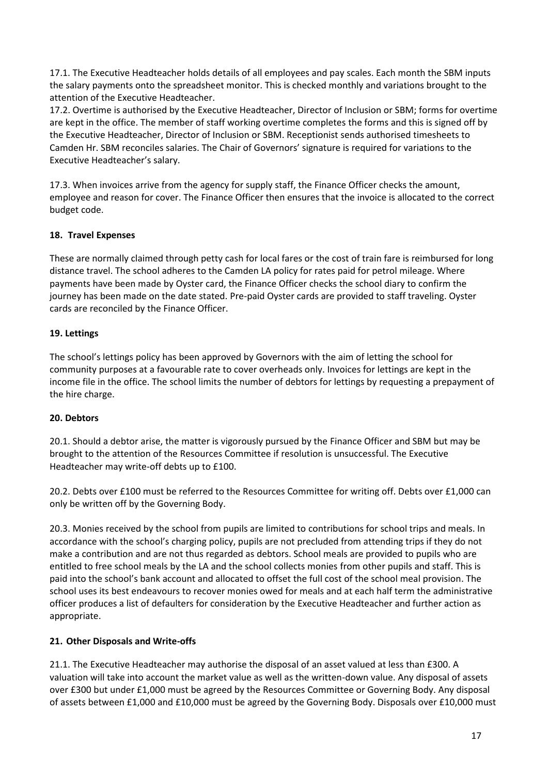17.1. The Executive Headteacher holds details of all employees and pay scales. Each month the SBM inputs the salary payments onto the spreadsheet monitor. This is checked monthly and variations brought to the attention of the Executive Headteacher.

17.2. Overtime is authorised by the Executive Headteacher, Director of Inclusion or SBM; forms for overtime are kept in the office. The member of staff working overtime completes the forms and this is signed off by the Executive Headteacher, Director of Inclusion or SBM. Receptionist sends authorised timesheets to Camden Hr. SBM reconciles salaries. The Chair of Governors' signature is required for variations to the Executive Headteacher's salary.

17.3. When invoices arrive from the agency for supply staff, the Finance Officer checks the amount, employee and reason for cover. The Finance Officer then ensures that the invoice is allocated to the correct budget code.

# **18. Travel Expenses**

These are normally claimed through petty cash for local fares or the cost of train fare is reimbursed for long distance travel. The school adheres to the Camden LA policy for rates paid for petrol mileage. Where payments have been made by Oyster card, the Finance Officer checks the school diary to confirm the journey has been made on the date stated. Pre-paid Oyster cards are provided to staff traveling. Oyster cards are reconciled by the Finance Officer.

# **19. Lettings**

The school's lettings policy has been approved by Governors with the aim of letting the school for community purposes at a favourable rate to cover overheads only. Invoices for lettings are kept in the income file in the office. The school limits the number of debtors for lettings by requesting a prepayment of the hire charge.

## **20. Debtors**

20.1. Should a debtor arise, the matter is vigorously pursued by the Finance Officer and SBM but may be brought to the attention of the Resources Committee if resolution is unsuccessful. The Executive Headteacher may write-off debts up to £100.

20.2. Debts over £100 must be referred to the Resources Committee for writing off. Debts over £1,000 can only be written off by the Governing Body.

20.3. Monies received by the school from pupils are limited to contributions for school trips and meals. In accordance with the school's charging policy, pupils are not precluded from attending trips if they do not make a contribution and are not thus regarded as debtors. School meals are provided to pupils who are entitled to free school meals by the LA and the school collects monies from other pupils and staff. This is paid into the school's bank account and allocated to offset the full cost of the school meal provision. The school uses its best endeavours to recover monies owed for meals and at each half term the administrative officer produces a list of defaulters for consideration by the Executive Headteacher and further action as appropriate.

## **21. Other Disposals and Write-offs**

21.1. The Executive Headteacher may authorise the disposal of an asset valued at less than £300. A valuation will take into account the market value as well as the written-down value. Any disposal of assets over £300 but under £1,000 must be agreed by the Resources Committee or Governing Body. Any disposal of assets between £1,000 and £10,000 must be agreed by the Governing Body. Disposals over £10,000 must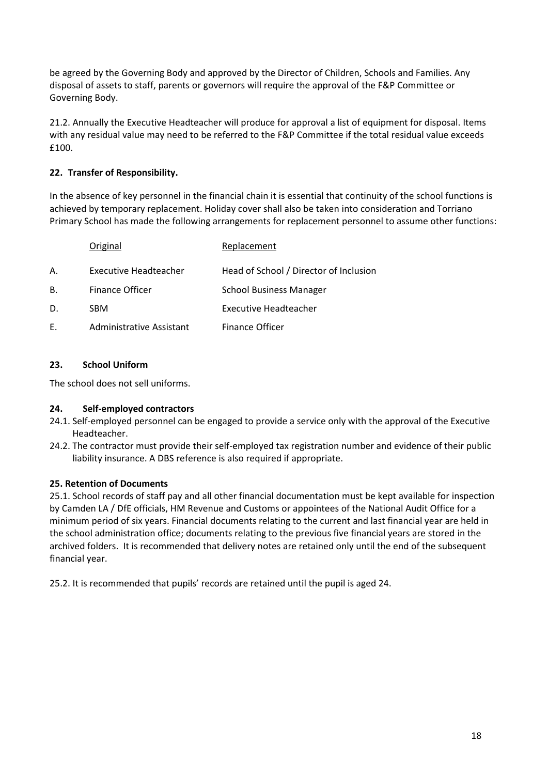be agreed by the Governing Body and approved by the Director of Children, Schools and Families. Any disposal of assets to staff, parents or governors will require the approval of the F&P Committee or Governing Body.

21.2. Annually the Executive Headteacher will produce for approval a list of equipment for disposal. Items with any residual value may need to be referred to the F&P Committee if the total residual value exceeds £100.

# **22. Transfer of Responsibility.**

In the absence of key personnel in the financial chain it is essential that continuity of the school functions is achieved by temporary replacement. Holiday cover shall also be taken into consideration and Torriano Primary School has made the following arrangements for replacement personnel to assume other functions:

|    | Original                 | Replacement                            |
|----|--------------------------|----------------------------------------|
| А. | Executive Headteacher    | Head of School / Director of Inclusion |
| В. | <b>Finance Officer</b>   | <b>School Business Manager</b>         |
| D. | <b>SBM</b>               | <b>Executive Headteacher</b>           |
| Е. | Administrative Assistant | <b>Finance Officer</b>                 |

# **23. School Uniform**

The school does not sell uniforms.

## **24. Self-employed contractors**

- 24.1. Self-employed personnel can be engaged to provide a service only with the approval of the Executive Headteacher.
- 24.2. The contractor must provide their self-employed tax registration number and evidence of their public liability insurance. A DBS reference is also required if appropriate.

## **25. Retention of Documents**

25.1. School records of staff pay and all other financial documentation must be kept available for inspection by Camden LA / DfE officials, HM Revenue and Customs or appointees of the National Audit Office for a minimum period of six years. Financial documents relating to the current and last financial year are held in the school administration office; documents relating to the previous five financial years are stored in the archived folders. It is recommended that delivery notes are retained only until the end of the subsequent financial year.

25.2. It is recommended that pupils' records are retained until the pupil is aged 24.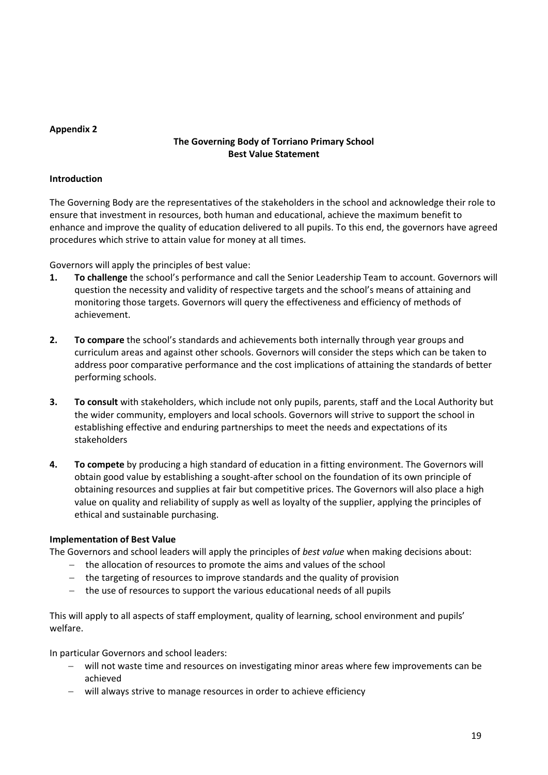#### **Appendix 2**

# **The Governing Body of Torriano Primary School Best Value Statement**

#### **Introduction**

The Governing Body are the representatives of the stakeholders in the school and acknowledge their role to ensure that investment in resources, both human and educational, achieve the maximum benefit to enhance and improve the quality of education delivered to all pupils. To this end, the governors have agreed procedures which strive to attain value for money at all times.

Governors will apply the principles of best value:

- **1. To challenge** the school's performance and call the Senior Leadership Team to account. Governors will question the necessity and validity of respective targets and the school's means of attaining and monitoring those targets. Governors will query the effectiveness and efficiency of methods of achievement.
- **2. To compare** the school's standards and achievements both internally through year groups and curriculum areas and against other schools. Governors will consider the steps which can be taken to address poor comparative performance and the cost implications of attaining the standards of better performing schools.
- **3. To consult** with stakeholders, which include not only pupils, parents, staff and the Local Authority but the wider community, employers and local schools. Governors will strive to support the school in establishing effective and enduring partnerships to meet the needs and expectations of its stakeholders
- **4. To compete** by producing a high standard of education in a fitting environment. The Governors will obtain good value by establishing a sought-after school on the foundation of its own principle of obtaining resources and supplies at fair but competitive prices. The Governors will also place a high value on quality and reliability of supply as well as loyalty of the supplier, applying the principles of ethical and sustainable purchasing.

## **Implementation of Best Value**

The Governors and school leaders will apply the principles of *best value* when making decisions about:

- the allocation of resources to promote the aims and values of the school
- the targeting of resources to improve standards and the quality of provision
- the use of resources to support the various educational needs of all pupils

This will apply to all aspects of staff employment, quality of learning, school environment and pupils' welfare.

In particular Governors and school leaders:

- will not waste time and resources on investigating minor areas where few improvements can be achieved
- will always strive to manage resources in order to achieve efficiency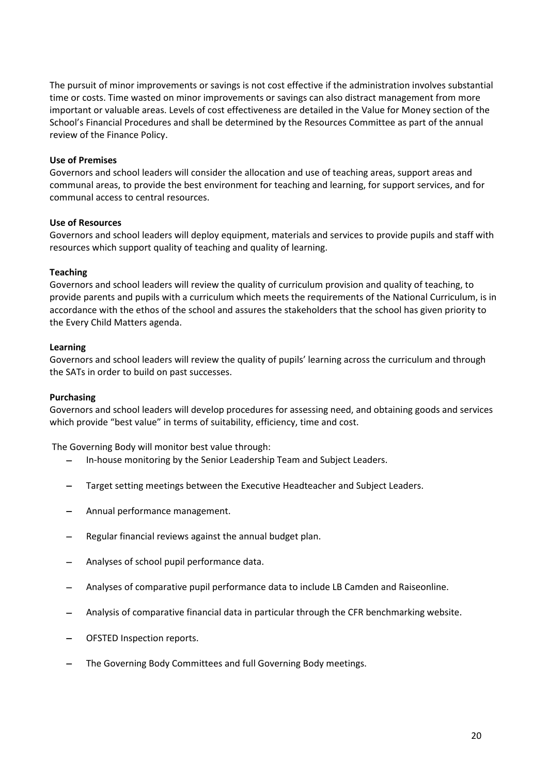The pursuit of minor improvements or savings is not cost effective if the administration involves substantial time or costs. Time wasted on minor improvements or savings can also distract management from more important or valuable areas. Levels of cost effectiveness are detailed in the Value for Money section of the School's Financial Procedures and shall be determined by the Resources Committee as part of the annual review of the Finance Policy.

#### **Use of Premises**

Governors and school leaders will consider the allocation and use of teaching areas, support areas and communal areas, to provide the best environment for teaching and learning, for support services, and for communal access to central resources.

#### **Use of Resources**

Governors and school leaders will deploy equipment, materials and services to provide pupils and staff with resources which support quality of teaching and quality of learning.

#### **Teaching**

Governors and school leaders will review the quality of curriculum provision and quality of teaching, to provide parents and pupils with a curriculum which meets the requirements of the National Curriculum, is in accordance with the ethos of the school and assures the stakeholders that the school has given priority to the Every Child Matters agenda.

#### **Learning**

Governors and school leaders will review the quality of pupils' learning across the curriculum and through the SATs in order to build on past successes.

#### **Purchasing**

Governors and school leaders will develop procedures for assessing need, and obtaining goods and services which provide "best value" in terms of suitability, efficiency, time and cost.

The Governing Body will monitor best value through:

- In-house monitoring by the Senior Leadership Team and Subject Leaders.
- Target setting meetings between the Executive Headteacher and Subject Leaders.
- Annual performance management.
- Regular financial reviews against the annual budget plan.
- Analyses of school pupil performance data.
- Analyses of comparative pupil performance data to include LB Camden and Raiseonline.
- Analysis of comparative financial data in particular through the CFR benchmarking website.
- OFSTED Inspection reports.
- The Governing Body Committees and full Governing Body meetings.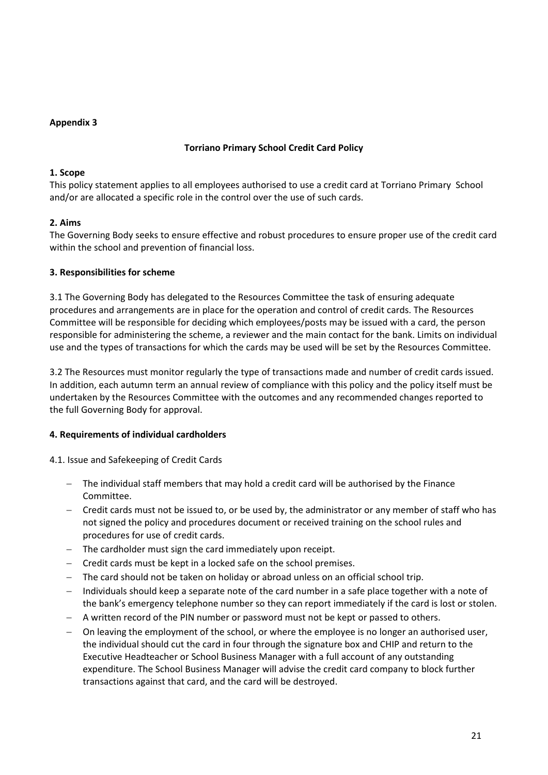## **Appendix 3**

#### **Torriano Primary School Credit Card Policy**

#### **1. Scope**

This policy statement applies to all employees authorised to use a credit card at Torriano Primary School and/or are allocated a specific role in the control over the use of such cards.

## **2. Aims**

The Governing Body seeks to ensure effective and robust procedures to ensure proper use of the credit card within the school and prevention of financial loss.

## **3. Responsibilities for scheme**

3.1 The Governing Body has delegated to the Resources Committee the task of ensuring adequate procedures and arrangements are in place for the operation and control of credit cards. The Resources Committee will be responsible for deciding which employees/posts may be issued with a card, the person responsible for administering the scheme, a reviewer and the main contact for the bank. Limits on individual use and the types of transactions for which the cards may be used will be set by the Resources Committee.

3.2 The Resources must monitor regularly the type of transactions made and number of credit cards issued. In addition, each autumn term an annual review of compliance with this policy and the policy itself must be undertaken by the Resources Committee with the outcomes and any recommended changes reported to the full Governing Body for approval.

## **4. Requirements of individual cardholders**

4.1. Issue and Safekeeping of Credit Cards

- The individual staff members that may hold a credit card will be authorised by the Finance Committee.
- Credit cards must not be issued to, or be used by, the administrator or any member of staff who has not signed the policy and procedures document or received training on the school rules and procedures for use of credit cards.
- $-$  The cardholder must sign the card immediately upon receipt.
- $-$  Credit cards must be kept in a locked safe on the school premises.
- The card should not be taken on holiday or abroad unless on an official school trip.
- $-$  Individuals should keep a separate note of the card number in a safe place together with a note of the bank's emergency telephone number so they can report immediately if the card is lost or stolen.
- A written record of the PIN number or password must not be kept or passed to others.
- On leaving the employment of the school, or where the employee is no longer an authorised user, the individual should cut the card in four through the signature box and CHIP and return to the Executive Headteacher or School Business Manager with a full account of any outstanding expenditure. The School Business Manager will advise the credit card company to block further transactions against that card, and the card will be destroyed.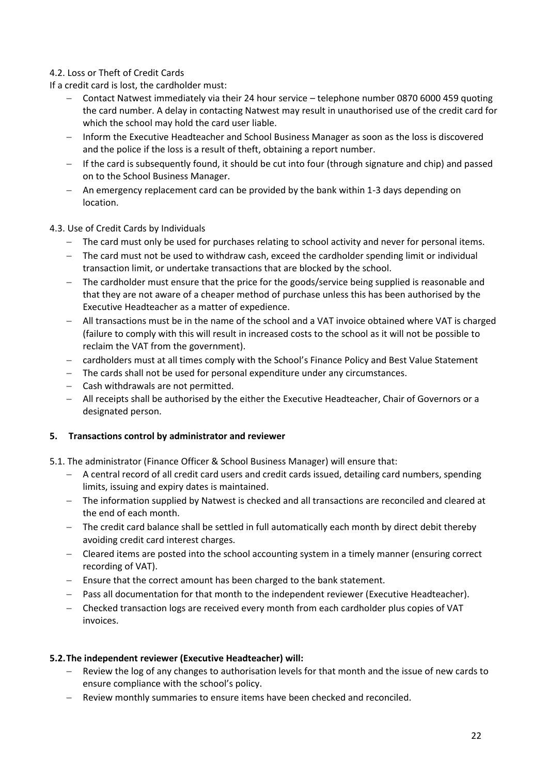# 4.2. Loss or Theft of Credit Cards

If a credit card is lost, the cardholder must:

- Contact Natwest immediately via their 24 hour service telephone number 0870 6000 459 quoting the card number. A delay in contacting Natwest may result in unauthorised use of the credit card for which the school may hold the card user liable.
- Inform the Executive Headteacher and School Business Manager as soon as the loss is discovered and the police if the loss is a result of theft, obtaining a report number.
- $-$  If the card is subsequently found, it should be cut into four (through signature and chip) and passed on to the School Business Manager.
- An emergency replacement card can be provided by the bank within 1-3 days depending on location.

## 4.3. Use of Credit Cards by Individuals

- The card must only be used for purchases relating to school activity and never for personal items.
- The card must not be used to withdraw cash, exceed the cardholder spending limit or individual transaction limit, or undertake transactions that are blocked by the school.
- The cardholder must ensure that the price for the goods/service being supplied is reasonable and that they are not aware of a cheaper method of purchase unless this has been authorised by the Executive Headteacher as a matter of expedience.
- All transactions must be in the name of the school and a VAT invoice obtained where VAT is charged (failure to comply with this will result in increased costs to the school as it will not be possible to reclaim the VAT from the government).
- cardholders must at all times comply with the School's Finance Policy and Best Value Statement
- The cards shall not be used for personal expenditure under any circumstances.
- Cash withdrawals are not permitted.
- All receipts shall be authorised by the either the Executive Headteacher, Chair of Governors or a designated person.

#### **5. Transactions control by administrator and reviewer**

- 5.1. The administrator (Finance Officer & School Business Manager) will ensure that:
	- A central record of all credit card users and credit cards issued, detailing card numbers, spending limits, issuing and expiry dates is maintained.
	- The information supplied by Natwest is checked and all transactions are reconciled and cleared at the end of each month.
	- The credit card balance shall be settled in full automatically each month by direct debit thereby avoiding credit card interest charges.
	- Cleared items are posted into the school accounting system in a timely manner (ensuring correct recording of VAT).
	- $-$  Ensure that the correct amount has been charged to the bank statement.
	- Pass all documentation for that month to the independent reviewer (Executive Headteacher).
	- Checked transaction logs are received every month from each cardholder plus copies of VAT invoices.

#### **5.2.The independent reviewer (Executive Headteacher) will:**

- Review the log of any changes to authorisation levels for that month and the issue of new cards to ensure compliance with the school's policy.
- Review monthly summaries to ensure items have been checked and reconciled.